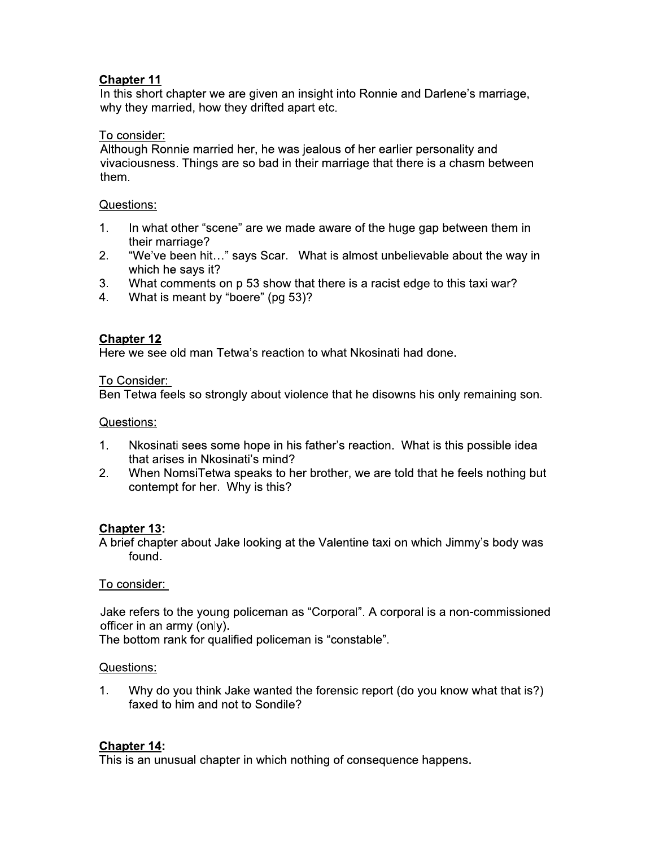## **Chapter 11**

In this short chapter we are given an insight into Ronnie and Darlene's marriage, why they married, how they drifted apart etc.

## To consider:

Although Ronnie married her, he was jealous of her earlier personality and vivaciousness. Things are so bad in their marriage that there is a chasm between them.

## Questions:

- $1<sub>1</sub>$ In what other "scene" are we made aware of the huge gap between them in their marriage?
- $2.$ "We've been hit..." says Scar. What is almost unbelievable about the way in which he says it?
- $3.$ What comments on p 53 show that there is a racist edge to this taxi war?
- What is meant by "boere" (pg 53)?  $4_{\cdot}$

## **Chapter 12**

Here we see old man Tetwa's reaction to what Nkosinati had done.

## To Consider:

Ben Tetwa feels so strongly about violence that he disowns his only remaining son.

## Questions:

- $1_{-}$ Nkosinati sees some hope in his father's reaction. What is this possible idea that arises in Nkosinati's mind?
- $2.$ When NomsiTetwa speaks to her brother, we are told that he feels nothing but contempt for her. Why is this?

# **Chapter 13:**

A brief chapter about Jake looking at the Valentine taxi on which Jimmy's body was found.

## To consider:

Jake refers to the young policeman as "Corporal". A corporal is a non-commissioned officer in an army (only).

The bottom rank for qualified policeman is "constable".

# Questions:

Why do you think Jake wanted the forensic report (do you know what that is?)  $1_{-}$ faxed to him and not to Sondile?

## **Chapter 14:**

This is an unusual chapter in which nothing of consequence happens.